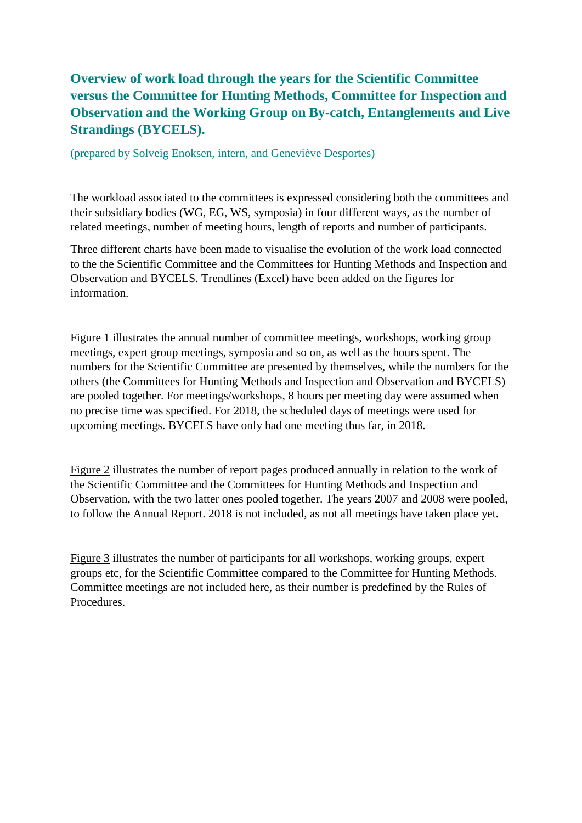## **Overview of work load through the years for the Scientific Committee versus the Committee for Hunting Methods, Committee for Inspection and Observation and the Working Group on By-catch, Entanglements and Live Strandings (BYCELS).**

(prepared by Solveig Enoksen, intern, and Geneviève Desportes)

The workload associated to the committees is expressed considering both the committees and their subsidiary bodies (WG, EG, WS, symposia) in four different ways, as the number of related meetings, number of meeting hours, length of reports and number of participants.

Three different charts have been made to visualise the evolution of the work load connected to the the Scientific Committee and the Committees for Hunting Methods and Inspection and Observation and BYCELS. Trendlines (Excel) have been added on the figures for information.

Figure 1 illustrates the annual number of committee meetings, workshops, working group meetings, expert group meetings, symposia and so on, as well as the hours spent. The numbers for the Scientific Committee are presented by themselves, while the numbers for the others (the Committees for Hunting Methods and Inspection and Observation and BYCELS) are pooled together. For meetings/workshops, 8 hours per meeting day were assumed when no precise time was specified. For 2018, the scheduled days of meetings were used for upcoming meetings. BYCELS have only had one meeting thus far, in 2018.

Figure 2 illustrates the number of report pages produced annually in relation to the work of the Scientific Committee and the Committees for Hunting Methods and Inspection and Observation, with the two latter ones pooled together. The years 2007 and 2008 were pooled, to follow the Annual Report. 2018 is not included, as not all meetings have taken place yet.

Figure 3 illustrates the number of participants for all workshops, working groups, expert groups etc, for the Scientific Committee compared to the Committee for Hunting Methods. Committee meetings are not included here, as their number is predefined by the Rules of Procedures.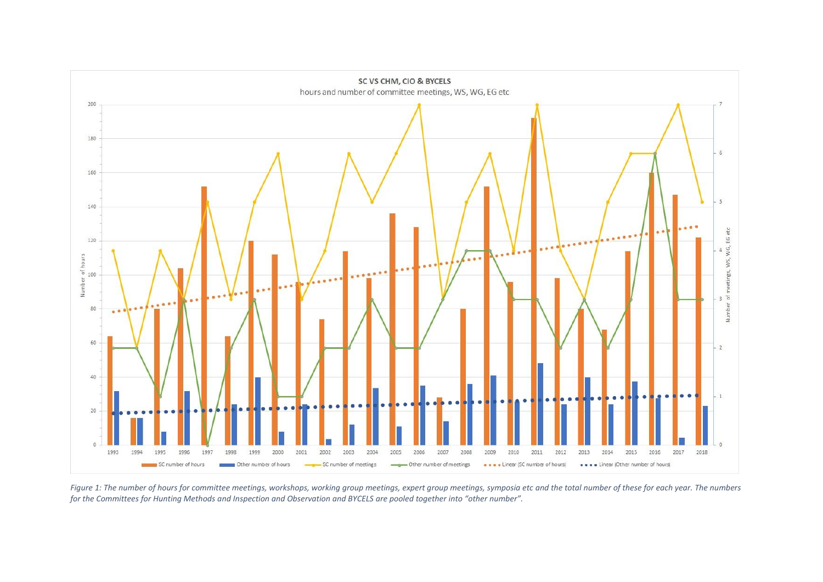

*Figure 1: The number of hours for committee meetings, workshops, working group meetings, expert group meetings, symposia etc and the total number of these for each year. The numbers for the Committees for Hunting Methods and Inspection and Observation and BYCELS are pooled together into "other number".*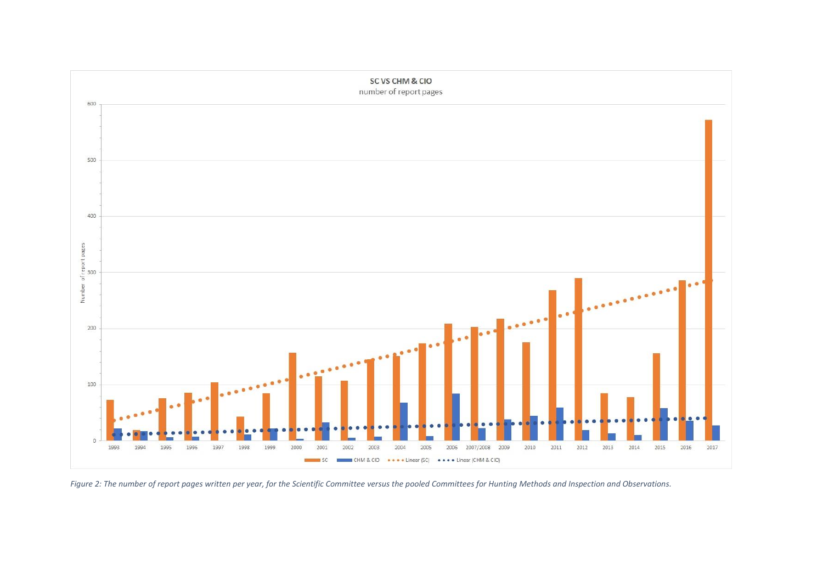

*Figure 2: The number of report pages written per year, for the Scientific Committee versus the pooled Committees for Hunting Methods and Inspection and Observations.*